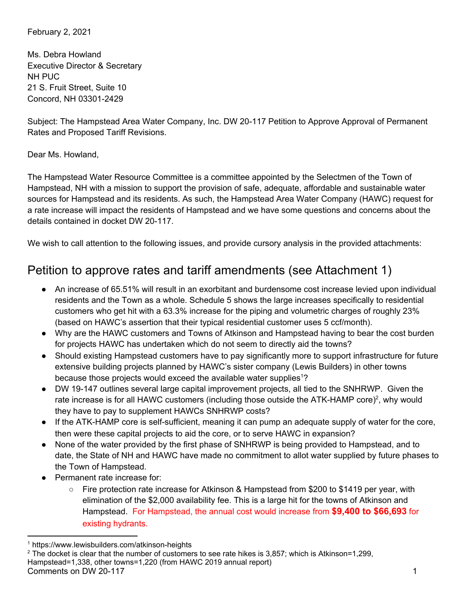February 2, 2021

Ms. Debra Howland Executive Director & Secretary NH PUC 21 S. Fruit Street, Suite 10 Concord, NH 03301-2429

Subject: The Hampstead Area Water Company, Inc. DW 20-117 Petition to Approve Approval of Permanent Rates and Proposed Tariff Revisions.

Dear Ms. Howland,

The Hampstead Water Resource Committee is a committee appointed by the Selectmen of the Town of Hampstead, NH with a mission to support the provision of safe, adequate, affordable and sustainable water sources for Hampstead and its residents. As such, the Hampstead Area Water Company (HAWC) request for a rate increase will impact the residents of Hampstead and we have some questions and concerns about the details contained in docket DW 20-117.

We wish to call attention to the following issues, and provide cursory analysis in the provided attachments:

## Petition to approve rates and tariff amendments (see Attachment 1)

- An increase of 65.51% will result in an exorbitant and burdensome cost increase levied upon individual residents and the Town as a whole. Schedule 5 shows the large increases specifically to residential customers who get hit with a 63.3% increase for the piping and volumetric charges of roughly 23% (based on HAWC's assertion that their typical residential customer uses 5 ccf/month).
- Why are the HAWC customers and Towns of Atkinson and Hampstead having to bear the cost burden for projects HAWC has undertaken which do not seem to directly aid the towns?
- Should existing Hampstead customers have to pay significantly more to support infrastructure for future extensive building projects planned by HAWC's sister company (Lewis Builders) in other towns because those projects would exceed the available water supplies<sup>1</sup>?
- DW 19-147 outlines several large capital improvement projects, all tied to the SNHRWP. Given the rate increase is for all HAWC customers (including those outside the ATK-HAMP core)<sup>2</sup>, why would they have to pay to supplement HAWCs SNHRWP costs?
- If the ATK-HAMP core is self-sufficient, meaning it can pump an adequate supply of water for the core, then were these capital projects to aid the core, or to serve HAWC in expansion?
- None of the water provided by the first phase of SNHRWP is being provided to Hampstead, and to date, the State of NH and HAWC have made no commitment to allot water supplied by future phases to the Town of Hampstead.
- Permanent rate increase for:
	- Fire protection rate increase for Atkinson & Hampstead from \$200 to \$1419 per year, with elimination of the \$2,000 availability fee. This is a large hit for the towns of Atkinson and Hampstead. For Hampstead, the annual cost would increase from **\$9,400 to \$66,693** for existing hydrants.

<sup>1</sup> https://www.lewisbuilders.com/atkinson-heights

<sup>&</sup>lt;sup>2</sup> The docket is clear that the number of customers to see rate hikes is 3,857; which is Atkinson=1,299, Hampstead=1,338, other towns=1,220 (from HAWC 2019 annual report)

Comments on DW 20-117 2000 12000 12000 12000 12000 12000 12000 12000 12000 12000 12000 12000 12000 12000 12000 1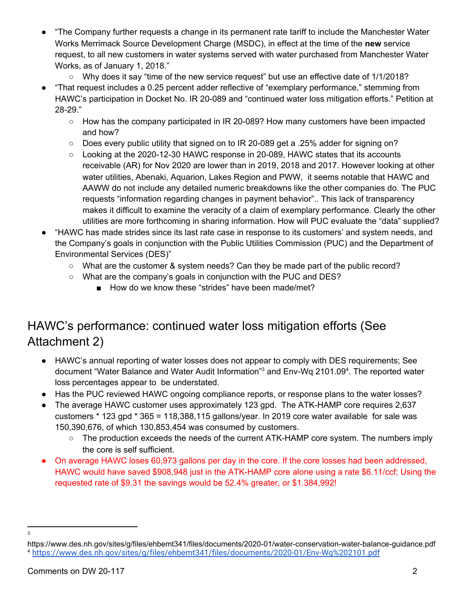- "The Company further requests a change in its permanent rate tariff to include the Manchester Water Works Merrimack Source Development Charge (MSDC), in effect at the time of the **new** service request, to all new customers in water systems served with water purchased from Manchester Water Works, as of January 1, 2018."
	- Why does it say "time of the new service request" but use an effective date of 1/1/2018?
- "That request includes a 0.25 percent adder reflective of "exemplary performance," stemming from HAWC's participation in Docket No. IR 20-089 and "continued water loss mitigation efforts." Petition at 28-29."
	- How has the company participated in IR 20-089? How many customers have been impacted and how?
	- Does every public utility that signed on to IR 20-089 get a .25% adder for signing on?
	- Looking at the 2020-12-30 HAWC response in 20-089, HAWC states that its accounts receivable (AR) for Nov 2020 are lower than in 2019, 2018 and 2017. However looking at other water utilities, Abenaki, Aquarion, Lakes Region and PWW, it seems notable that HAWC and AAWW do not include any detailed numeric breakdowns like the other companies do. The PUC requests "information regarding changes in payment behavior".. This lack of transparency makes it difficult to examine the veracity of a claim of exemplary performance. Clearly the other utilities are more forthcoming in sharing information. How will PUC evaluate the "data" supplied?
- "HAWC has made strides since its last rate case in response to its customers' and system needs, and the Company's goals in conjunction with the Public Utilities Commission (PUC) and the Department of Environmental Services (DES)"
	- What are the customer & system needs? Can they be made part of the public record?
	- What are the company's goals in conjunction with the PUC and DES?
		- How do we know these "strides" have been made/met?

## HAWC's performance: continued water loss mitigation efforts (See Attachment 2)

- HAWC's annual reporting of water losses does not appear to comply with DES requirements; See document "Water Balance and Water Audit Information"<sup>3</sup> and Env-Wq 2101.09<sup>4</sup>. The reported water loss percentages appear to be understated.
- Has the PUC reviewed HAWC ongoing compliance reports, or response plans to the water losses?
- The average HAWC customer uses approximately 123 gpd. The ATK-HAMP core requires 2,637 customers \* 123 gpd \* 365 = 118,388,115 gallons/year. In 2019 core water available for sale was 150,390,676, of which 130,853,454 was consumed by customers.
	- The production exceeds the needs of the current ATK-HAMP core system. The numbers imply the core is self sufficient.
- On average HAWC loses 60,973 gallons per day in the core. If the core losses had been addressed, HAWC would have saved \$908,948 just in the ATK-HAMP core alone using a rate \$6.11/ccf; Using the requested rate of \$9.31 the savings would be 52.4% greater, or \$1.384,992!

<sup>3</sup>

https://www.des.nh.gov/sites/g/files/ehbemt341/files/documents/2020-01/water-conservation-water-balance-guidance.pdf <sup>4</sup> <https://www.des.nh.gov/sites/g/files/ehbemt341/files/documents/2020-01/Env-Wq%202101.pdf>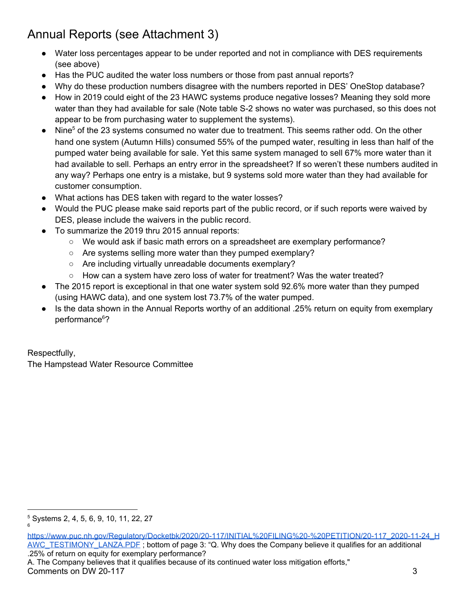# Annual Reports (see Attachment 3)

- Water loss percentages appear to be under reported and not in compliance with DES requirements (see above)
- Has the PUC audited the water loss numbers or those from past annual reports?
- Why do these production numbers disagree with the numbers reported in DES' OneStop database?
- How in 2019 could eight of the 23 HAWC systems produce negative losses? Meaning they sold more water than they had available for sale (Note table S-2 shows no water was purchased, so this does not appear to be from purchasing water to supplement the systems).
- Nine<sup>5</sup> of the 23 systems consumed no water due to treatment. This seems rather odd. On the other hand one system (Autumn Hills) consumed 55% of the pumped water, resulting in less than half of the pumped water being available for sale. Yet this same system managed to sell 67% more water than it had available to sell. Perhaps an entry error in the spreadsheet? If so weren't these numbers audited in any way? Perhaps one entry is a mistake, but 9 systems sold more water than they had available for customer consumption.
- What actions has DES taken with regard to the water losses?
- Would the PUC please make said reports part of the public record, or if such reports were waived by DES, please include the waivers in the public record.
- To summarize the 2019 thru 2015 annual reports:
	- We would ask if basic math errors on a spreadsheet are exemplary performance?
	- Are systems selling more water than they pumped exemplary?
	- Are including virtually unreadable documents exemplary?
	- How can a system have zero loss of water for treatment? Was the water treated?
- The 2015 report is exceptional in that one water system sold 92.6% more water than they pumped (using HAWC data), and one system lost 73.7% of the water pumped.
- Is the data shown in the Annual Reports worthy of an additional .25% return on equity from exemplary performance 6?

Respectfully, The Hampstead Water Resource Committee

A. The Company believes that it qualifies because of its continued water loss mitigation efforts," Comments on DW 20-117 3

<sup>5</sup> Systems 2, 4, 5, 6, 9, 10, 11, 22, 27 6

[https://www.puc.nh.gov/Regulatory/Docketbk/2020/20-117/INITIAL%20FILING%20-%20PETITION/20-117\\_2020-11-24\\_H](https://www.puc.nh.gov/Regulatory/Docketbk/2020/20-117/INITIAL%20FILING%20-%20PETITION/20-117_2020-11-24_HAWC_TESTIMONY_LANZA.PDF) [AWC\\_TESTIMONY\\_LANZA.PDF](https://www.puc.nh.gov/Regulatory/Docketbk/2020/20-117/INITIAL%20FILING%20-%20PETITION/20-117_2020-11-24_HAWC_TESTIMONY_LANZA.PDF) ; bottom of page 3: "Q. Why does the Company believe it qualifies for an additional .25% of return on equity for exemplary performance?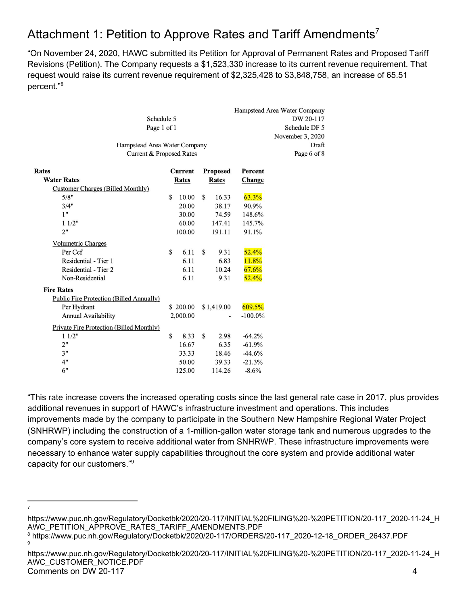# Attachment 1: Petition to Approve Rates and Tariff Amendments<sup>7</sup>

"On November 24, 2020, HAWC submitted its Petition for Approval of Permanent Rates and Proposed Tariff Revisions (Petition). The Company requests a \$1,523,330 increase to its current revenue requirement. That request would raise its current revenue requirement of \$2,325,428 to \$3,848,758, an increase of 65.51 percent." 8

|                                                 |    |                  |             |                 | Hampstead Area Water Company |  |  |
|-------------------------------------------------|----|------------------|-------------|-----------------|------------------------------|--|--|
| Schedule 5                                      |    | DW 20-117        |             |                 |                              |  |  |
| Page 1 of 1                                     |    | Schedule DF 5    |             |                 |                              |  |  |
|                                                 |    | November 3, 2020 |             |                 |                              |  |  |
| Hampstead Area Water Company                    |    | Draft            |             |                 |                              |  |  |
| <b>Current &amp; Proposed Rates</b>             |    |                  | Page 6 of 8 |                 |                              |  |  |
| <b>Rates</b>                                    |    | <b>Current</b>   |             | <b>Proposed</b> | Percent                      |  |  |
| <b>Water Rates</b>                              |    | Rates            |             | Rates           | Change                       |  |  |
| <b>Customer Charges (Billed Monthly)</b>        |    |                  |             |                 |                              |  |  |
| 5/8"                                            | \$ | 10.00            | $\mathbf S$ | 16.33           | 63.3%                        |  |  |
| 3/4"                                            |    | 20.00            |             | 38.17           | 90.9%                        |  |  |
| 1"                                              |    | 30.00            |             | 74.59           | 148.6%                       |  |  |
| 11/2"                                           |    | 60.00            |             | 147.41          | 145.7%                       |  |  |
| 2"                                              |    | 100.00           |             | 191.11          | 91.1%                        |  |  |
| <b>Volumetric Charges</b>                       |    |                  |             |                 |                              |  |  |
| Per Ccf                                         | \$ | 6.11             | \$          | 9.31            | 52.4%                        |  |  |
| Residential - Tier 1                            |    | 6.11             |             | 6.83            | 11.8%                        |  |  |
| Residential - Tier 2                            |    | 6.11             |             | 10.24           | 67.6%                        |  |  |
| Non-Residential                                 |    | 6.11             |             | 9.31            | 52.4%                        |  |  |
| <b>Fire Rates</b>                               |    |                  |             |                 |                              |  |  |
| <b>Public Fire Protection (Billed Annually)</b> |    |                  |             |                 |                              |  |  |
| Per Hydrant                                     |    | \$200.00         |             | \$1,419.00      | 609.5%                       |  |  |
| Annual Availability                             |    | 2,000.00         |             |                 | $-100.0\%$                   |  |  |
| Private Fire Protection (Billed Monthly)        |    |                  |             |                 |                              |  |  |
| 11/2"                                           | \$ | 8.33             | \$          | 2.98            | $-64.2%$                     |  |  |
| 2"                                              |    | 16.67            |             | 6.35            | $-61.9%$                     |  |  |
| 3"                                              |    | 33.33            |             | 18.46           | $-44.6%$                     |  |  |
| 4"                                              |    | 50.00            |             | 39.33           | $-21.3%$                     |  |  |
| 6"                                              |    | 125.00           |             | 114.26          | $-8.6%$                      |  |  |

"This rate increase covers the increased operating costs since the last general rate case in 2017, plus provides additional revenues in support of HAWC's infrastructure investment and operations. This includes improvements made by the company to participate in the Southern New Hampshire Regional Water Project (SNHRWP) including the construction of a 1-million-gallon water storage tank and numerous upgrades to the company's core system to receive additional water from SNHRWP. These infrastructure improvements were necessary to enhance water supply capabilities throughout the core system and provide additional water capacity for our customers." 9

7

https://www.puc.nh.gov/Regulatory/Docketbk/2020/20-117/INITIAL%20FILING%20-%20PETITION/20-117\_2020-11-24\_H AWC\_PETITION\_APPROVE\_RATES\_TARIFF\_AMENDMENTS.PDF

<sup>8</sup> https://www.puc.nh.gov/Regulatory/Docketbk/2020/20-117/ORDERS/20-117\_2020-12-18\_ORDER\_26437.PDF 9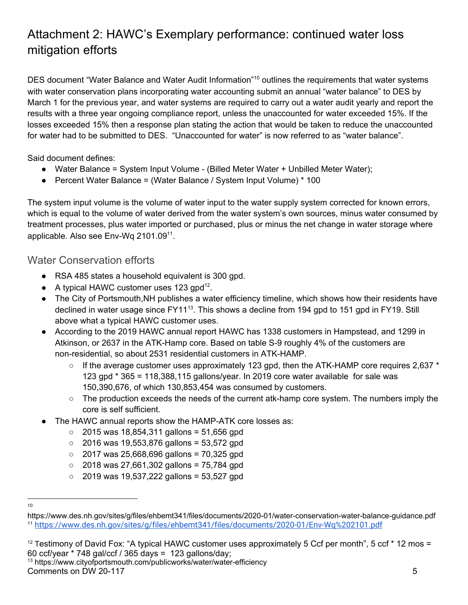# Attachment 2: HAWC's Exemplary performance: continued water loss mitigation efforts

DES document "Water Balance and Water Audit Information"<sup>10</sup> outlines the requirements that water systems with water conservation plans incorporating water accounting submit an annual "water balance" to DES by March 1 for the previous year, and water systems are required to carry out a water audit yearly and report the results with a three year ongoing compliance report, unless the unaccounted for water exceeded 15%. If the losses exceeded 15% then a response plan stating the action that would be taken to reduce the unaccounted for water had to be submitted to DES. "Unaccounted for water" is now referred to as "water balance".

Said document defines:

- Water Balance = System Input Volume (Billed Meter Water + Unbilled Meter Water);
- Percent Water Balance = (Water Balance / System Input Volume) \* 100

The system input volume is the volume of water input to the water supply system corrected for known errors, which is equal to the volume of water derived from the water system's own sources, minus water consumed by treatment processes, plus water imported or purchased, plus or minus the net change in water storage where applicable. Also see Env-Wq 2101.09 $^{11}$ .

### Water Conservation efforts

- RSA 485 states a household equivalent is 300 gpd.
- A typical HAWC customer uses 123 gpd<sup>12</sup>.
- The City of Portsmouth, NH publishes a water efficiency timeline, which shows how their residents have declined in water usage since FY11<sup>13</sup>. This shows a decline from 194 gpd to 151 gpd in FY19. Still above what a typical HAWC customer uses.
- According to the 2019 HAWC annual report HAWC has 1338 customers in Hampstead, and 1299 in Atkinson, or 2637 in the ATK-Hamp core. Based on table S-9 roughly 4% of the customers are non-residential, so about 2531 residential customers in ATK-HAMP.
	- If the average customer uses approximately 123 gpd, then the ATK-HAMP core requires 2,637 \* 123 gpd \* 365 = 118,388,115 gallons/year. In 2019 core water available for sale was 150,390,676, of which 130,853,454 was consumed by customers.
	- The production exceeds the needs of the current atk-hamp core system. The numbers imply the core is self sufficient.
- The HAWC annual reports show the HAMP-ATK core losses as:
	- $\circ$  2015 was 18,854,311 gallons = 51,656 gpd
	- $\degree$  2016 was 19,553,876 gallons = 53,572 gpd
	- $\degree$  2017 was 25,668,696 gallons = 70,325 gpd
	- $\degree$  2018 was 27,661,302 gallons = 75,784 gpd
	- $\degree$  2019 was 19,537,222 gallons = 53,527 gpd

<sup>13</sup> https://www.cityofportsmouth.com/publicworks/water/water-efficiency Comments on DW 20-117 5

<sup>10</sup>

https://www.des.nh.gov/sites/g/files/ehbemt341/files/documents/2020-01/water-conservation-water-balance-guidance.pdf <sup>11</sup> <https://www.des.nh.gov/sites/g/files/ehbemt341/files/documents/2020-01/Env-Wq%202101.pdf>

<sup>&</sup>lt;sup>12</sup> Testimony of David Fox: "A typical HAWC customer uses approximately 5 Ccf per month", 5 ccf  $*$  12 mos = 60 ccf/year \* 748 gal/ccf / 365 days = 123 gallons/day;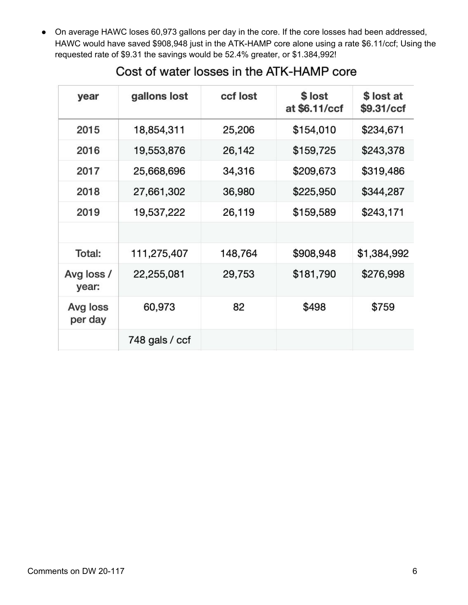● On average HAWC loses 60,973 gallons per day in the core. If the core losses had been addressed, HAWC would have saved \$908,948 just in the ATK-HAMP core alone using a rate \$6.11/ccf; Using the requested rate of \$9.31 the savings would be 52.4% greater, or \$1.384,992!

| year                | gallons lost   | ccf lost | \$ lost<br>at \$6.11/ccf | \$ lost at<br>\$9.31/ccf |
|---------------------|----------------|----------|--------------------------|--------------------------|
| 2015                | 18,854,311     | 25,206   | \$154,010                | \$234,671                |
| 2016                | 19,553,876     | 26,142   | \$159,725                | \$243,378                |
| 2017                | 25,668,696     | 34,316   | \$209,673                | \$319,486                |
| 2018                | 27,661,302     | 36,980   | \$225,950                | \$344,287                |
| 2019                | 19,537,222     | 26,119   | \$159,589                | \$243,171                |
|                     |                |          |                          |                          |
| Total:              | 111,275,407    | 148,764  | \$908,948                | \$1,384,992              |
| Avg loss /<br>year: | 22,255,081     | 29,753   | \$181,790                | \$276,998                |
| Avg loss<br>per day | 60,973         | 82       | \$498                    | \$759                    |
|                     | 748 gals / ccf |          |                          |                          |

## Cost of water losses in the ATK-HAMP core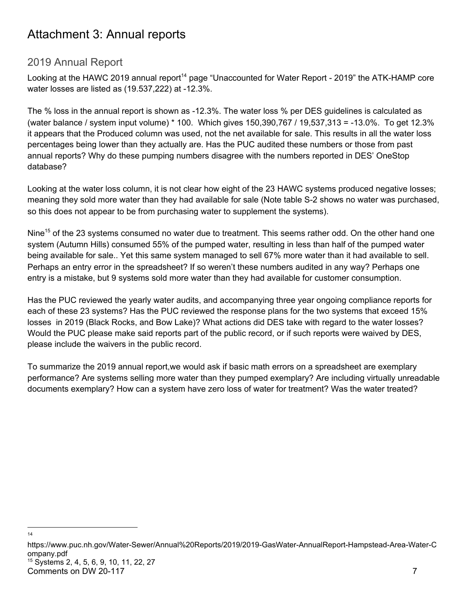## Attachment 3: Annual reports

### 2019 Annual Report

Looking at the HAWC 2019 annual report<sup>14</sup> page "Unaccounted for Water Report - 2019" the ATK-HAMP core water losses are listed as (19.537,222) at -12.3%.

The % loss in the annual report is shown as -12.3%. The water loss % per DES guidelines is calculated as (water balance / system input volume) \* 100. Which gives 150,390,767 / 19,537,313 = -13.0%. To get 12.3% it appears that the Produced column was used, not the net available for sale. This results in all the water loss percentages being lower than they actually are. Has the PUC audited these numbers or those from past annual reports? Why do these pumping numbers disagree with the numbers reported in DES' OneStop database?

Looking at the water loss column, it is not clear how eight of the 23 HAWC systems produced negative losses; meaning they sold more water than they had available for sale (Note table S-2 shows no water was purchased, so this does not appear to be from purchasing water to supplement the systems).

Nine<sup>15</sup> of the 23 systems consumed no water due to treatment. This seems rather odd. On the other hand one system (Autumn Hills) consumed 55% of the pumped water, resulting in less than half of the pumped water being available for sale.. Yet this same system managed to sell 67% more water than it had available to sell. Perhaps an entry error in the spreadsheet? If so weren't these numbers audited in any way? Perhaps one entry is a mistake, but 9 systems sold more water than they had available for customer consumption.

Has the PUC reviewed the yearly water audits, and accompanying three year ongoing compliance reports for each of these 23 systems? Has the PUC reviewed the response plans for the two systems that exceed 15% losses in 2019 (Black Rocks, and Bow Lake)? What actions did DES take with regard to the water losses? Would the PUC please make said reports part of the public record, or if such reports were waived by DES, please include the waivers in the public record.

To summarize the 2019 annual report,we would ask if basic math errors on a spreadsheet are exemplary performance? Are systems selling more water than they pumped exemplary? Are including virtually unreadable documents exemplary? How can a system have zero loss of water for treatment? Was the water treated?

<sup>14</sup>

https://www.puc.nh.gov/Water-Sewer/Annual%20Reports/2019/2019-GasWater-AnnualReport-Hampstead-Area-Water-C ompany.pdf <sup>15</sup> Systems 2, 4, 5, 6, 9, 10, 11, 22, 27  $\blacksquare$  Comments on DW 20-117  $\blacksquare$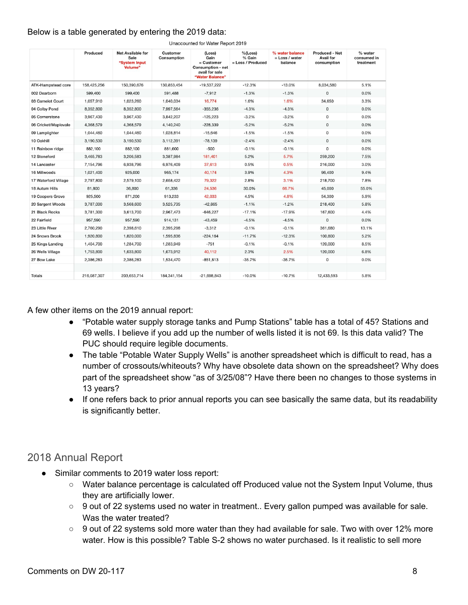#### Below is a table generated by entering the 2019 data:

|                         | Produced    | <b>Net Available for</b><br>Sale<br>"System Input<br>Volume" | Customer<br>Consumption | (Loss)<br>Gain<br>= Customer<br>Consumption - net<br>avail for sale<br>"Water Balance" | $%$ (Loss)<br>% Gain<br>= Loss / Produced | % water balance<br>$=$ Loss / water<br>balance | <b>Produced - Net</b><br><b>Avail for</b><br>consumption | % water<br>consumed in<br>treatment |
|-------------------------|-------------|--------------------------------------------------------------|-------------------------|----------------------------------------------------------------------------------------|-------------------------------------------|------------------------------------------------|----------------------------------------------------------|-------------------------------------|
| ATK-Hampstead core      | 158,425,256 | 150,390,676                                                  | 130,853,454             | $-19,537,222$                                                                          | $-12.3%$                                  | $-13.0%$                                       | 8,034,580                                                | 5.1%                                |
| 002 Dearborn            | 599,400     | 599,400                                                      | 591,488                 | $-7,912$                                                                               | $-1.3%$                                   | $-1.3%$                                        | $\mathbf 0$                                              | 0.0%                                |
| 03 Camelot Court        | 1,057,910   | 1,023,260                                                    | 1,040,034               | 16,774                                                                                 | 1.6%                                      | 1.6%                                           | 34,650                                                   | 3.3%                                |
| 04 Colby Pond           | 8,352,800   | 8,352,800                                                    | 7,997,564               | $-355,236$                                                                             | $-4.3%$                                   | $-4.3%$                                        | $\mathbf 0$                                              | 0.0%                                |
| 05 Cornerstone          | 3,967,430   | 3,967,430                                                    | 3,842,207               | $-125,223$                                                                             | $-3.2%$                                   | $-3.2%$                                        | $\mathbf 0$                                              | 0.0%                                |
| 06 Cricket/Maplevale    | 4,368,579   | 4,368.579                                                    | 4,140,240               | $-228,339$                                                                             | $-5.2%$                                   | $-5.2%$                                        | $\mathbf{0}$                                             | 0.0%                                |
| 09 Lamplighter          | 1,044,460   | 1,044,460                                                    | 1,028,814               | $-15,646$                                                                              | $-1.5%$                                   | $-1.5%$                                        | $\mathbf 0$                                              | 0.0%                                |
| 10 Oakhill              | 3,190,530   | 3,190,530                                                    | 3,112,391               | $-78,139$                                                                              | $-2.4%$                                   | $-2.4%$                                        | $\mathbf 0$                                              | 0.0%                                |
| 11 Rainbow ridge        | 882,100     | 882,100                                                      | 881,600                 | $-500$                                                                                 | $-0.1%$                                   | $-0.1%$                                        | $\mathbf 0$                                              | 0.0%                                |
| 12 Stoneford            | 3,465,783   | 3,206,583                                                    | 3,387,984               | 181,401                                                                                | 5.2%                                      | 5.7%                                           | 259,200                                                  | 7.5%                                |
| 14 Lancaster            | 7,154,796   | 6,938,796                                                    | 6,976,409               | 37,613                                                                                 | 0.5%                                      | 0.5%                                           | 216,000                                                  | 3.0%                                |
| 16 Millwoods            | 1,021,400   | 925,000                                                      | 965,174                 | 40,174                                                                                 | 3.9%                                      | 4.3%                                           | 96,400                                                   | 9.4%                                |
| 17 Waterford Village    | 2,797,800   | 2,579,100                                                    | 2,658,422               | 79,322                                                                                 | 2.8%                                      | 3.1%                                           | 218,700                                                  | 7.8%                                |
| 18 Autum Hills          | 81,800      | 36,800                                                       | 61,336                  | 24,536                                                                                 | 30.0%                                     | 66.7%                                          | 45,000                                                   | 55.0%                               |
| <b>19 Coopers Grove</b> | 925,500     | 871,200                                                      | 913,233                 | 42.033                                                                                 | 4.5%                                      | 4.8%                                           | 54.300                                                   | 5.9%                                |
| 20 Sargent Woods        | 3,787,000   | 3,568,600                                                    | 3,525,735               | $-42,865$                                                                              | $-1.1%$                                   | $-1.2%$                                        | 218,400                                                  | 5.8%                                |
| 21 Black Rocks          | 3,781,300   | 3,613,700                                                    | 2,967,473               | $-646,227$                                                                             | $-17.1%$                                  | $-17.9%$                                       | 167,600                                                  | 4.4%                                |
| 22 Fairfield            | 957,590     | 957,590                                                      | 914,131                 | $-43,459$                                                                              | $-4.5%$                                   | $-4.5%$                                        | $\mathsf{O}$                                             | 0.0%                                |
| 23 Little River         | 2,760,290   | 2,398,610                                                    | 2,395,298               | $-3,312$                                                                               | $-0.1%$                                   | $-0.1%$                                        | 361,680                                                  | 13.1%                               |
| 24 Snows Brook          | 1,920,800   | 1,820,000                                                    | 1,595,836               | $-224,164$                                                                             | $-11.7%$                                  | $-12.3%$                                       | 100,800                                                  | 5.2%                                |
| 25 Kings Landing        | 1,404,700   | 1,284,700                                                    | 1,283,949               | $-751$                                                                                 | $-0.1%$                                   | $-0.1%$                                        | 120,000                                                  | 8.5%                                |
| 26 Wells Village        | 1,753,800   | 1,633,800                                                    | 1,673,912               | 40,112                                                                                 | 2.3%                                      | 2.5%                                           | 120,000                                                  | 6.8%                                |
| 27 Bow Lake             | 2,386,283   | 2,386,283                                                    | 1,534,470               | $-851, 813$                                                                            | $-35.7%$                                  | $-35.7%$                                       | 0                                                        | 0.0%                                |
| Totals                  | 216,087,307 | 203,653,714                                                  | 184.341.154             | $-21,698,843$                                                                          | $-10.0%$                                  | $-10.7%$                                       | 12,433,593                                               | 5.8%                                |

Unaccounted for Water Report 2019

A few other items on the 2019 annual report:

- "Potable water supply storage tanks and Pump Stations" table has a total of 45? Stations and 69 wells. I believe if you add up the number of wells listed it is not 69. Is this data valid? The PUC should require legible documents.
- The table "Potable Water Supply Wells" is another spreadsheet which is difficult to read, has a number of crossouts/whiteouts? Why have obsolete data shown on the spreadsheet? Why does part of the spreadsheet show "as of 3/25/08"? Have there been no changes to those systems in 13 years?
- If one refers back to prior annual reports you can see basically the same data, but its readability is significantly better.

### 2018 Annual Report

- Similar comments to 2019 water loss report:
	- Water balance percentage is calculated off Produced value not the System Input Volume, thus they are artificially lower.
	- 9 out of 22 systems used no water in treatment.. Every gallon pumped was available for sale. Was the water treated?
	- 9 out of 22 systems sold more water than they had available for sale. Two with over 12% more water. How is this possible? Table S-2 shows no water purchased. Is it realistic to sell more